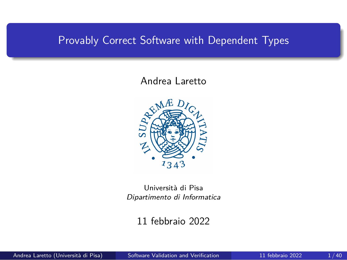### <span id="page-0-0"></span>Provably Correct Software with Dependent Types

#### Andrea Laretto



Università di Pisa *Dipartimento di Informatica*

11 febbraio 2022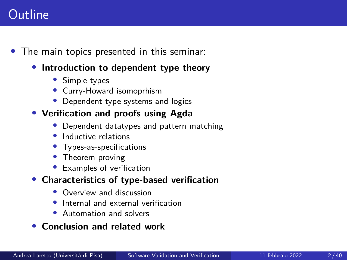# **Outline**

- *•* The main topics presented in this seminar:
	- *•* **Introduction to dependent type theory**
		- *•* Simple types
		- *•* Curry-Howard isomoprhism
		- *•* Dependent type systems and logics

#### *•* **Verification and proofs using Agda**

- *•* Dependent datatypes and pattern matching
- *•* Inductive relations
- *•* Types-as-specifications
- *•* Theorem proving
- *•* Examples of verification
- *•* **Characteristics of type-based verification**
	- Overview and discussion
	- *•* Internal and external verification
	- *•* Automation and solvers
- *•* **Conclusion and related work**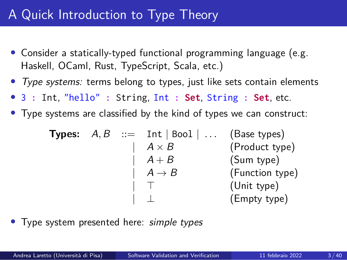# A Quick Introduction to Type Theory

- *•* Consider a statically-typed functional programming language (e.g. Haskell, OCaml, Rust, TypeScript, Scala, etc.)
- *• Type systems:* terms belong to types, just like sets contain elements
- *•* 3 **:** Int, "hello" **:** String, Int **: Set**, String **: Set**, etc.
- *•* Type systems are classified by the kind of types we can construct:

**Types:**  $A, B$  ::= Int | Bool |  $\ldots$  (Base types)  $A \times B$  (Product type)  $\mid$   $A + B$  (Sum type)  $\begin{array}{ccc} | & A \rightarrow B \\ | & T \end{array}$  (Function type) | *⊤* (Unit type) | *⊥* (Empty type)

*•* Type system presented here: *simple types*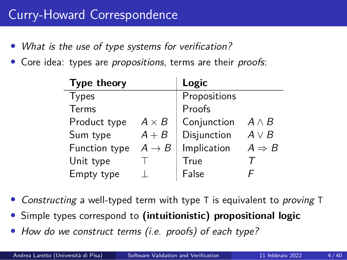- *• What is the use of type systems for verification?*
- *•* Core idea: types are *propositions*, terms are their *proofs*:

| Type theory   |                   | Logic        |                   |
|---------------|-------------------|--------------|-------------------|
| <b>Types</b>  |                   | Propositions |                   |
| Terms         |                   | Proofs       |                   |
| Product type  | $A \times B$      | Conjunction  | $A \wedge B$      |
| Sum type      | $A + B$           | Disjunction  | $A \vee B$        |
| Function type | $A \rightarrow B$ | Implication  | $A \Rightarrow B$ |
| Unit type     |                   | True         |                   |
| Empty type    |                   | False        |                   |

- *• Constructing* a well-typed term with type T is equivalent to *proving* T
- *•* Simple types correspond to **(intuitionistic) propositional logic**
- *• How do we construct terms (i.e. proofs) of each type?*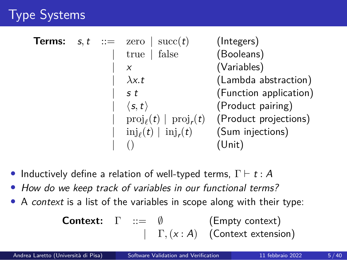# Type Systems

| Terms: |  | $s, t$ ::= zero   succ(t)                       | (Integers)             |
|--------|--|-------------------------------------------------|------------------------|
|        |  | true $\vert$ false                              | (Booleans)             |
|        |  | X                                               | (Variables)            |
|        |  | $\lambda x.t$                                   | (Lambda abstraction)   |
|        |  | s t                                             | (Function application) |
|        |  | $\langle s, t \rangle$                          | (Product pairing)      |
|        |  | $\text{proj}_{\ell}(t) \mid \text{proj}_{r}(t)$ | (Product projections)  |
|        |  | $\text{inj}_{\ell}(t) \mid \text{inj}_{r}(t)$   | (Sum injections)       |
|        |  |                                                 | (Unit)                 |

- *•* Inductively define a relation of well-typed terms, Γ *⊢ t* : *A*
- *• How do we keep track of variables in our functional terms?*
- *•* A *context* is a list of the variables in scope along with their type:

| Context: | $\Gamma$                           | ::= $\emptyset$     | (Empty context) |
|----------|------------------------------------|---------------------|-----------------|
|          | $\Gamma$ , ( <i>x</i> : <i>A</i> ) | (Context extension) |                 |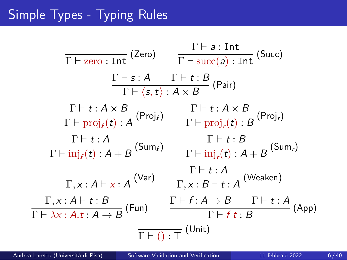# Simple Types - Typing Rules

$$
\frac{\Gamma \vdash a : \text{Int}}{\Gamma \vdash \text{zero} : \text{Int}} \text{ (Zero)} \qquad \frac{\Gamma \vdash a : \text{Int}}{\Gamma \vdash \text{succ}(a) : \text{Int}} \text{ (Succ)}
$$
\n
$$
\frac{\Gamma \vdash s : A \qquad \Gamma \vdash t : B}{\Gamma \vdash \langle s, t \rangle : A \times B} \text{ (Pair)}
$$
\n
$$
\frac{\Gamma \vdash t : A \times B}{\Gamma \vdash \text{proj}_{\ell}(t) : A} \text{ (Proj}_{\ell}) \qquad \frac{\Gamma \vdash t : A \times B}{\Gamma \vdash \text{proj}_{r}(t) : B} \text{ (Proj}_{r})}
$$
\n
$$
\frac{\Gamma \vdash t : A}{\Gamma \vdash \text{inj}_{\ell}(t) : A + B} \text{ (Sum}_{\ell}) \qquad \frac{\Gamma \vdash t : B}{\Gamma \vdash \text{inj}_{r}(t) : A + B} \text{ (Sum}_{r})}
$$
\n
$$
\frac{\Gamma \vdash t : A}{\Gamma, x : A \vdash x : A} \text{ (Var)} \qquad \frac{\Gamma \vdash t : A}{\Gamma, x : B \vdash t : A} \text{ (Weaken)}
$$
\n
$$
\frac{\Gamma \vdash f : A \rightarrow B \qquad \Gamma \vdash t : A}{\Gamma \vdash \lambda x : A.t : A \rightarrow B} \text{ (Fun)} \qquad \frac{\Gamma \vdash f : A \rightarrow B \qquad \Gamma \vdash t : A}{\Gamma \vdash f \vdash t : B} \text{ (App)}
$$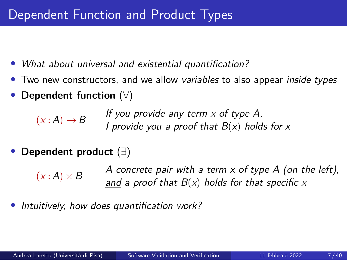- *• What about universal and existential quantification?*
- *•* Two new constructors, and we allow *variables* to also appear *inside types*
- *•* **Dependent function** (*∀*)

 $(x : A) \rightarrow B$ 

*If you provide any term x of type A, I provide you a proof that B*(*x*) *holds for x*

*•* **Dependent product** (*∃*)

 $(x:A) \times B$ *A concrete pair with a term x of type A (on the left), and a proof that B*(*x*) *holds for that specific x*

*• Intuitively, how does quantification work?*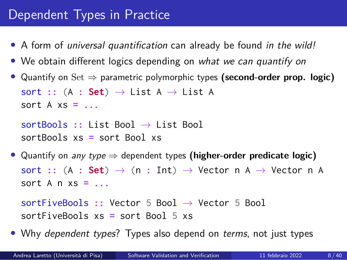# Dependent Types in Practice

- *•* A form of *universal quantification* can already be found *in the wild!*
- *•* We obtain different logics depending on *what we can quantify on*
- *•* Quantify on Set *⇒* parametric polymorphic types **(second-order prop. logic)** sort **::** (A **: Set**) *→* List A *→* List A sort A xs **= ...**

```
sortBools :: List Bool → List Bool
sortBools xs = sort Bool xs
```
*•* Quantify on *any type ⇒* dependent types **(higher-order predicate logic)** sort **::** (A **: Set**) *→* (n **:** Int) *→* Vector n A *→* Vector n A sort A n xs **= ...**

```
sortFiveBools :: Vector 5 Bool → Vector 5 Bool
sortFiveBools xs = sort Bool 5 xs
```
*•* Why *dependent types*? Types also depend on *terms*, not just types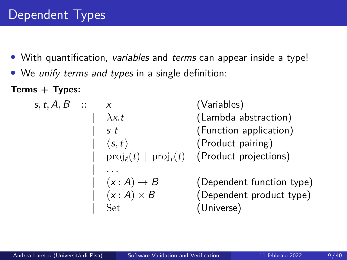- *•* With quantification, *variables* and *terms* can appear inside a type!
- *•* We *unify terms and types* in a single definition:

**Terms + Types:**

| $s, t, A, B$                                                                                                         | ::=                         | $x$                       | (Variables) |
|----------------------------------------------------------------------------------------------------------------------|-----------------------------|---------------------------|-------------|
| $\begin{array}{r}\n x.t \\  s \ t \\  \hline\n \end{array}$                                                          | (Lambda abstraction)        |                           |             |
| $\begin{array}{r}\n s.t \\  \hline\n \end{array}$                                                                    | (Function application)      |                           |             |
| $\begin{array}{r}\n \langle s, t \rangle \\  \text{proj}_{\ell}(t) \mid \text{proj}_{r}(t) \\  \hline\n \end{array}$ | (Product pairing)           |                           |             |
| ...                                                                                                                  | ( $x : A$ ) $\rightarrow B$ | (Dependent function type) |             |
| $\begin{array}{r}\n \langle x : A \rangle \times B \\  \hline\n \end{array}$                                         | (Dependent product type)    |                           |             |
| Set                                                                                                                  | (Universal)                 |                           |             |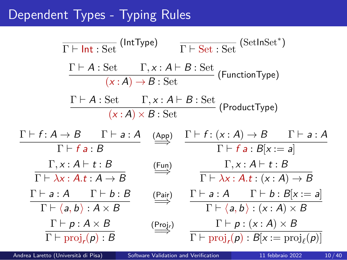## Dependent Types - Typing Rules

$$
\frac{\Gamma \vdash \text{Int} : \text{Set} \quad (\text{IntType})}{\Gamma \vdash A : \text{Set} \quad \Gamma, x : A \vdash B : \text{Set} \quad (\text{FunctionType})}
$$
\n
$$
\frac{\Gamma \vdash A : \text{Set} \quad \Gamma, x : A \vdash B : \text{Set} \quad (\text{FunctionType})}{(x : A) \times B : \text{Set}} \quad (\text{ProductType})
$$
\n
$$
\frac{\Gamma \vdash f : A \rightarrow B \quad \Gamma \vdash a : A \quad (\text{App})}{\Gamma \vdash f a : B} \quad \xrightarrow{\Gamma \vdash f : (x : A) \rightarrow B \quad \Gamma \vdash a : A}
$$
\n
$$
\frac{\Gamma \vdash f : A \rightarrow B \quad \Gamma \vdash a : A \quad (\text{App})}{\Gamma \vdash f a : B} \quad \xrightarrow{\Gamma \vdash f : (x : A) \rightarrow B \quad \Gamma \vdash a : A}
$$
\n
$$
\frac{\Gamma \vdash a : A \quad \Gamma \vdash b : B}{\Gamma \vdash \lambda x : A.t : A \rightarrow B} \quad \xrightarrow{\text{[Fun}} \quad \Gamma \vdash a : A \quad \Gamma \vdash b : B[x := a]}
$$
\n
$$
\frac{\Gamma \vdash a : A \quad \Gamma \vdash b : B}{\Gamma \vdash \langle a, b \rangle : A \times B} \quad \xrightarrow{\text{[Pair]} \quad \Gamma \vdash a : A \quad \Gamma \vdash b : B[x := a]}
$$
\n
$$
\frac{\Gamma \vdash p : A \times B}{\Gamma \vdash \text{proj}_r(p) : B} \quad \xrightarrow{\text{[Proj}_r(p) : B[x := \text{proj}_\ell(p)]}
$$

Andrea Laretto (Università di Pisa) [Software Validation and Verification](#page-0-0) 11 febbraio 2022 10/40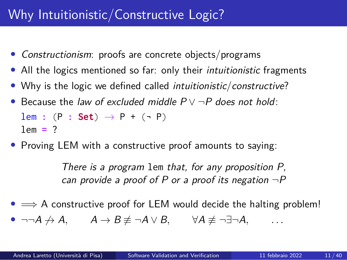# Why Intuitionistic/Constructive Logic?

- *• Constructionism*: proofs are concrete objects/programs
- *•* All the logics mentioned so far: only their *intuitionistic* fragments
- *•* Why is the logic we defined called *intuitionistic*/*constructive*?
- *•* Because the *law of excluded middle P ∨ ¬P does not hold*: lem :  $(P : Set) \rightarrow P + (-P)$

lem **=** ?

*•* Proving LEM with a constructive proof amounts to saying:

*There is a program* lem *that, for any proposition P, can provide a proof of P or a proof its negation ¬P*

- *•* =*⇒* A constructive proof for LEM would decide the halting problem!
- *• ¬¬A ̸→ A, A → B ̸≡ ¬A ∨ B, ∀A ̸≡ ¬∃¬A, . . .*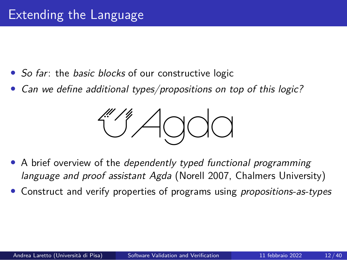- *• So far*: the *basic blocks* of our constructive logic
- *• Can we define additional types/propositions on top of this logic?*



- *•* A brief overview of the *dependently typed functional programming language and proof assistant Agda* (Norell 2007, Chalmers University)
- *•* Construct and verify properties of programs using *propositions-as-types*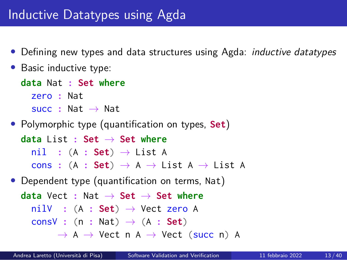## Inductive Datatypes using Agda

- *•* Defining new types and data structures using Agda: *inductive datatypes*
- *•* Basic inductive type:

```
data Nat : Set where
 zero : Nat
  succ : Nat → Nat
```
*•* Polymorphic type (quantification on types, **Set**)

**data** List **: Set** *→* **Set where** nil **:** (A **: Set**) *→* List A cons **:** (A **: Set**) *→* A *→* List A *→* List A

• Dependent type (quantification on terms, Nat)

**data** Vect **:** Nat *→* **Set** *→* **Set where** nilV **:** (A **: Set**) *→* Vect zero A consV **:** (n **:** Nat) *→* (A **: Set**) *→* A *→* Vect n A *→* Vect (succ n) A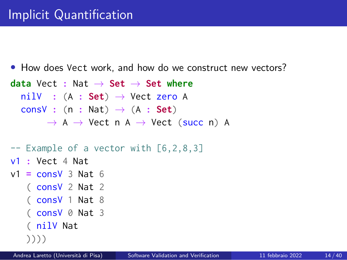```
• How does Vect work, and how do we construct new vectors?
data Vect : Nat → Set → Set where
 nilV : (A : Set) → Vect zero A
  consV : (n : Nat) → (A : Set)
       → A → Vect n A → Vect (succ n) A
```

```
-- Example of a vector with [6,2,8,3]
```
v1 **:** Vect 4 Nat

```
v1 = consV 3 Nat 6
```
( consV 2 Nat 2

```
( consV 1 Nat 8
```

```
( consV 0 Nat 3
```

```
( nilV Nat
```

```
))))
```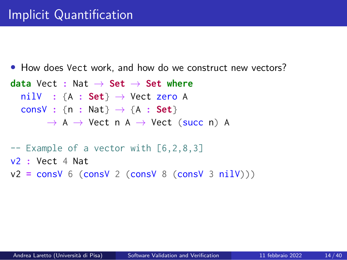```
• How does Vect work, and how do we construct new vectors?
data Vect : Nat → Set → Set where
 nilV : {A : Set} → Vect zero A
  consV : {n : Nat} → {A : Set}
       → A → Vect n A → Vect (succ n) A
-- Example of a vector with [6,2,8,3]
```
- v2 **:** Vect 4 Nat
- v2 **=** consV 6 (consV 2 (consV 8 (consV 3 nilV)))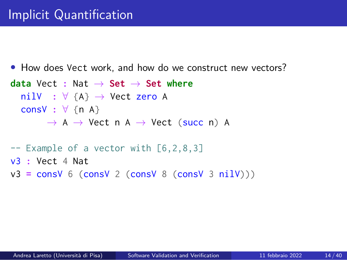```
• How does Vect work, and how do we construct new vectors?
data Vect : Nat → Set → Set where
 nilV : ∀ {A} → Vect zero A
  consV : ∀ {n A}
       → A → Vect n A → Vect (succ n) A
-- Example of a vector with [6,2,8,3]
v3 : Vect 4 Nat
v3 = consV 6 (consV 2 (consV 8 (consV 3 nilV)))
```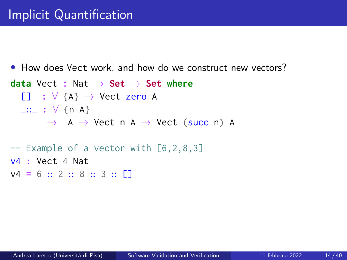```
• How does Vect work, and how do we construct new vectors?
data Vect : Nat → Set → Set where
  [] : ∀ {A} → Vect zero A
 _::_ : ∀ {n A}
       → A → Vect n A → Vect (succ n) A
-- Example of a vector with [6,2,8,3]
v4 : Vect 4 Nat
v4 = 6 :: 2 :: 8 :: 3 :: []
```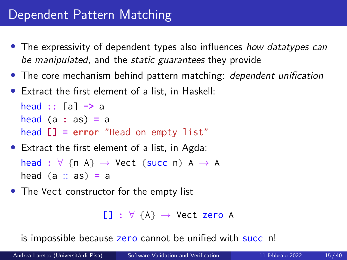# Dependent Pattern Matching

- *•* The expressivity of dependent types also influences *how datatypes can be manipulated,* and the *static guarantees* they provide
- *•* The core mechanism behind pattern matching: *dependent unification*
- *•* Extract the first element of a list, in Haskell:

head **::** [a] **->** a head (a **:** as) **=** a head **[] = error** "Head on empty list"

- *•* Extract the first element of a list, in Agda: head **:** *∀* {n A} *→* Vect (succ n) A *→* A head (a :: as) **=** a
- *•* The Vect constructor for the empty list

```
[] : ∀ {A} → Vect zero A
```
is impossible because zero cannot be unified with succ n!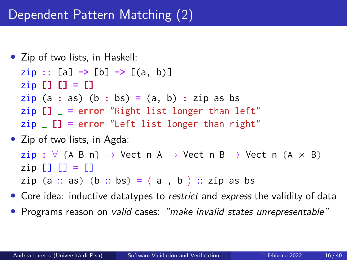```
• Zip of two lists, in Haskell:
  zip :: [a] -> [b] -> [(a, b)]
  \overline{2} [1 [1 ] = [1
  \overline{zip} (a : as) (b : bs) = (a, b) : zip as bs
  zip [] _ = error "Right list longer than left"
  zip _ [] = error "Left list longer than right"
```
- *•* Zip of two lists, in Agda:  $\mathsf{zip} : \forall \{\mathsf{A}\ \mathsf{B}\ \mathsf{n}\} \rightarrow \mathsf{Vect} \ \mathsf{n} \ \mathsf{A} \rightarrow \mathsf{Vect} \ \mathsf{n} \ \mathsf{B} \rightarrow \mathsf{Vect} \ \mathsf{n} \ (\mathsf{A} \times \mathsf{B})$  $\mathsf{z}$ ip  $\begin{bmatrix} 1 \\ 1 \end{bmatrix} = \begin{bmatrix} 1 \\ 1 \end{bmatrix}$ zip (a :: as) (b :: bs) =  $\langle$  a , b  $\rangle$  :: zip as bs
- *•* Core idea: inductive datatypes to *restrict* and *express* the validity of data
- *•* Programs reason on *valid* cases: *"make invalid states unrepresentable"*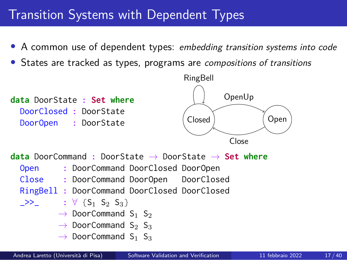# Transition Systems with Dependent Types

- *•* A common use of dependent types: *embedding transition systems into code*
- *•* States are tracked as types, programs are *compositions of transitions*

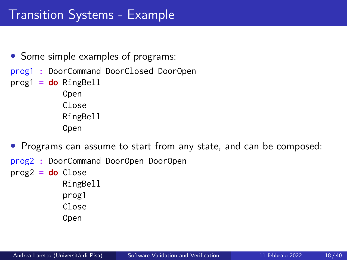# Transition Systems - Example

- Some simple examples of programs:
- prog1 **:** DoorCommand DoorClosed DoorOpen
- prog1 **= do** RingBell

Open Close RingBell Open

- *•* Programs can assume to start from any state, and can be composed:
- prog2 **:** DoorCommand DoorOpen DoorOpen

prog2 **= do** Close RingBell prog1 Close

Open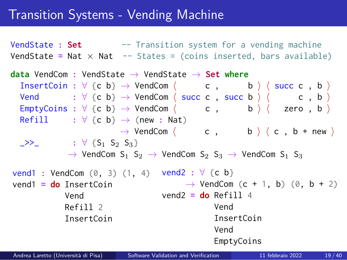## Transition Systems - Vending Machine

VendState **: Set** -- Transition system for a vending machine VendState **=** Nat *×* Nat -- States = (coins inserted, bars available)

**data** VendCom **:** VendState *→* VendState *→* **Set where** InsertCoin :  $\forall$  {c b}  $\rightarrow$  VendCom  $\langle$  c , b  $\rangle$   $\langle$  succ c , b  $\rangle$ Vend  $: \forall \{c \ b\} \rightarrow \text{VendCom} \langle \text{succ } c \ , \text{succ } b \ \rangle \langle \ c \ , \ b \ \rangle$  $\mathsf{EmptyCoins} : \forall \{\mathsf{c}\; \mathsf{b}\} \rightarrow \mathsf{VendCom} \langle \mathsf{c}\; ,\; \mathsf{b}\; \rangle \langle \mathsf{zero}\; ,\; \mathsf{b}\; \rangle$  $Refill$   $: \forall$  {c b}  $\rightarrow$  (new : Nat) *→* VendCom *⟨* c , b *⟩ ⟨* c , b + new *⟩*  $\rightarrow$  **:**  $\forall$  {S<sub>1</sub> S<sub>2</sub> S<sub>3</sub>} → VendCom S<sub>1</sub> S<sub>2</sub> → VendCom S<sub>2</sub> S<sub>3</sub> → VendCom S<sub>1</sub> S<sub>3</sub> vend1 **:** VendCom (0, 3) (1, 4) vend2 **:** *∀* {c b} vend1 **= do** InsertCoin Vend Refill 2 InsertCoin → VendCom (c + 1, b) (0, b + 2) vend2 **= do** Refill 4 Vend InsertCoin Vend EmptyCoins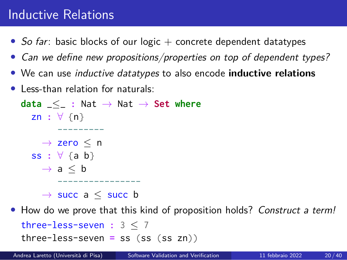# Inductive Relations

- *So far*: basic blocks of our logic + concrete dependent datatypes
- *• Can we define new propositions/properties on top of dependent types?*
- *•* We can use *inductive datatypes* to also encode **inductive relations**
- *•* Less-than relation for naturals:

**data** \_*≤*\_ **:** Nat *→* Nat *→* **Set where** zn **:** *∀* {n} --------- *→* zero *≤* n ss **:** *∀* {a b} *→* a *≤* b ---------------- *→* succ a *≤* succ b

*•* How do we prove that this kind of proposition holds? *Construct a term!*

three-less-seven **:** 3 *≤* 7 three-less-seven **=** ss (ss (ss zn))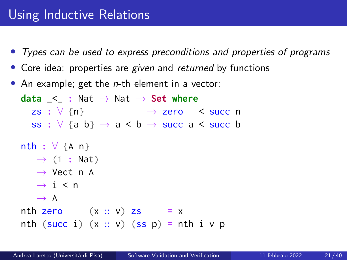# Using Inductive Relations

- *• Types can be used to express preconditions and properties of programs*
- *•* Core idea: properties are *given* and *returned* by functions
- *•* An example; get the *n*-th element in a vector:

```
data \leq : Nat \rightarrow Nat \rightarrow Set where
 zs : ∀ {n} → zero < succ n
  ss : ∀ {a b} → a < b → succ a < succ b
nth : ∀ {A n}
  → (i : Nat)
  → Vect n A
  → i < n
  → A
nth zero (x :: v) zs = xnth (succ i) (x:: v) (ss p) = nth i v p
```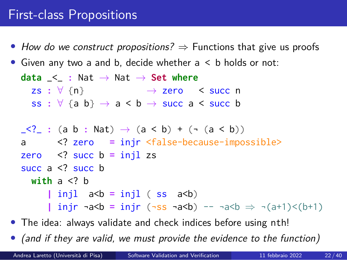## First-class Propositions

- *• How do we construct propositions? ⇒* Functions that give us proofs
- Given any two a and b, decide whether  $a < b$  holds or not:

**data** \_<\_ **:** Nat *→* Nat *→* **Set where** zs **:** *∀* {n} *→* zero < succ n ss **:** *∀* {a b} *→* a < b *→* succ a < succ b  $\leq$  : (a b : Nat)  $\to$  (a < b) + ( $\sim$  (a < b)) a <? zero **=** injr <false-because-impossible> zero <? succ b **=** injl zs succ  $a \leq ?$  succ b **with** a <? b  $|$  injl  $a < b = injl$  (ss  $a < b$ ) **|** injr ¬a<b **=** injr (¬ss ¬a<b) -- ¬a<b *⇒* ¬(a+1)<(b+1)

- *•* The idea: always validate and check indices before using nth!
- *• (and if they are valid, we must provide the evidence to the function)*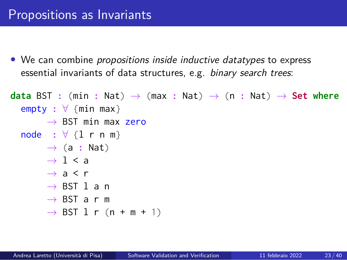*•* We can combine *propositions inside inductive datatypes* to express essential invariants of data structures, e.g. *binary search trees*:

```
data BST : (min : Nat) → (max : Nat) → (n : Nat) → Set where
  empty : ∀ {min max}
      → BST min max zero
  node : ∀ {l r n m}
      → (a : Nat)
      → l < a
      → a < r
      → BST l a n
      → BST a r m
      → BST l r (n + m + 1)
```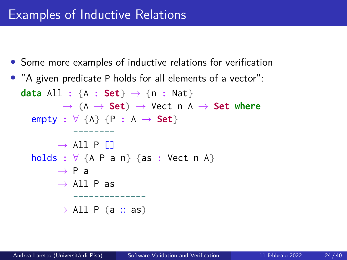*•* Some more examples of inductive relations for verification

```
• "A given predicate P holds for all elements of a vector":
  data All : {A : Set} → {n : Nat}
          → (A → Set) → Vect n A → Set where
    empty : ∀ {A} {P : A → Set}
            --------
         → All P []
    holds : ∀ {A P a n} {as : Vect n A}
         → P a
         → All P as
             --------------
         → All P (a :: as)
```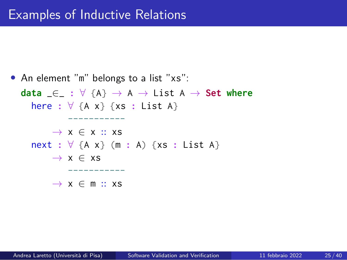*•* An element "m" belongs to a list "xs": **data** \_*∈*\_ **:** *∀* {A} *→* A *→* List A *→* **Set where** here **:** *∀* {A x} {xs **:** List A} ----------- *→* x *∈* x :: xs next **:** *∀* {A x} (m **:** A) {xs **:** List A} *→* x *∈* xs ----------- *→* x *∈* m :: xs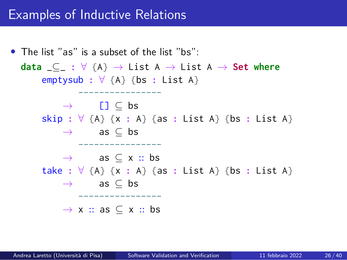## Examples of Inductive Relations

*•* The list "as" is a subset of the list "bs": **data** \_*⊆*\_ **:** *∀* {A} *→* List A *→* List A *→* **Set where** emptysub **:** *∀* {A} {bs **:** List A} ---------------- *→* [] *⊆* bs skip **:** *∀* {A} {x **:** A} {as **:** List A} {bs **:** List A} *→* as *⊆* bs ---------------- *→* as *⊆* x :: bs take **:** *∀* {A} {x **:** A} {as **:** List A} {bs **:** List A} *→* as *⊆* bs ---------------- *→* x :: as *⊆* x :: bs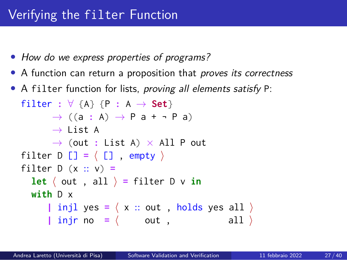- *• How do we express properties of programs?*
- *•* A function can return a proposition that *proves its correctness*
- *•* A filter function for lists, *proving all elements satisfy* P: filter **:** *∀* {A} {P **:** A *→* **Set**} *→* ((a **:** A) *→* P a + ¬ P a) *→* List A *→* (out **:** List A) *×* All P out filter D [] **=** *⟨* [] , empty *⟩* filter D (x :: v) **= let**  $\langle$  out , all  $\rangle$  = filter D  $\vee$  **in with** D x **|** injl yes **=** *⟨* x :: out , holds yes all *⟩* **|** injr no **=** *⟨* out , all *⟩*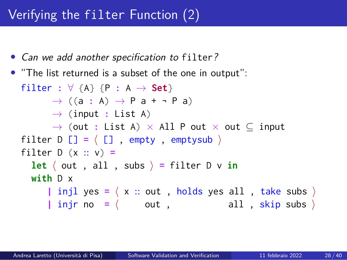# Verifying the filter Function (2)

- *• Can we add another specification to* filter*?*
- *•* "The list returned is a subset of the one in output": filter **:** *∀* {A} {P **:** A *→* **Set**} *→* ((a **:** A) *→* P a + ¬ P a) *→* (input **:** List A) *→* (out **:** List A) *×* All P out *×* out *⊆* input filter D [] **=** *⟨* [] , empty , emptysub *⟩* filter D (x :: v) **= let**  $\langle$  out , all , subs  $\rangle$  = filter D  $\vee$  **in with** D x **|** injl yes **=** *⟨* x :: out , holds yes all , take subs *⟩* **|** injr no **=** *⟨* out , all , skip subs *⟩*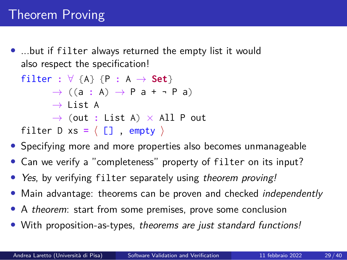*•* ...but if filter always returned the empty list it would also respect the specification!

```
filter : ∀ {A} {P : A → Set}
      → ((a : A) → P a + ¬ P a)
      → List A
      → (out : List A) × All P out
filter D xs = \langle [], empty \rangle
```
- *•* Specifying more and more properties also becomes unmanageable
- *•* Can we verify a "completeness" property of filter on its input?
- *• Yes*, by verifying filter separately using *theorem proving!*
- *•* Main advantage: theorems can be proven and checked *independently*
- *•* A *theorem*: start from some premises, prove some conclusion
- *•* With proposition-as-types, *theorems are just standard functions!*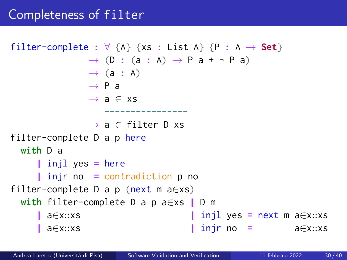```
filter-complete : \forall {A} {xs : List A} {P : A \rightarrow Set}
               → (D : (a : A) → P a + ¬ P a)
               → (a : A)
               → P a
               → a ∈ xs
                   ----------------
               → a ∈ filter D xs
filter-complete D a p here
 with D a
     | injl yes = here
     | injr no = contradiction p no
filter-complete D a p (next m a∈xs)
 with filter-complete D a p a∈xs | D m
      | a∈x::xs | injl yes = next m a∈x::xs
                                  | a∈x::xs | injr no = a∈x::xs
```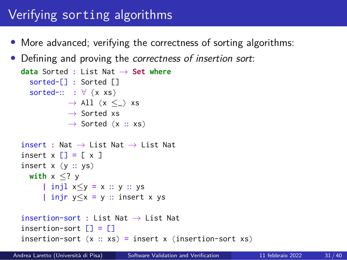# Verifying sorting algorithms

- More advanced; verifying the correctness of sorting algorithms:
- *•* Defining and proving the *correctness of insertion sort*:

```
data Sorted : List Nat → Set where
  sorted-[] : Sorted []
  sorted-:: : ∀ {x xs}
          → All (x ≤_) xs
           → Sorted xs
           → Sorted (x :: xs)
insert : Nat → List Nat → List Nat
insert x [] = [ x ]
insert x (y :: ys)
 with x ≤? y
     | injl x≤y = x :: y :: ys
     | injr y≤x = y :: insert x ys
insertion-sort : List Nat → List Nat
insertion-sort [] = []
insertion-sort (x :: xs) = insert x (insertion-sort xs)
```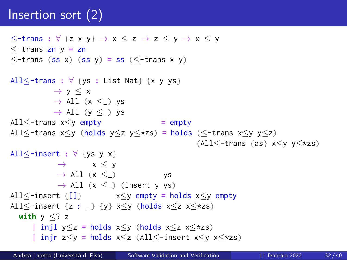# Insertion sort (2)

```
≤-trans : ∀ {z x y} → x ≤ z → z ≤ y → x ≤ y
≤-trans zn y = zn
≤-trans (ss x) (ss y) = ss (≤-trans x y)
All≤-trans : ∀ {ys : List Nat} {x y ys}
        → y ≤ x
         → All (x ≤_) ys
         → All (y ≤_) ys
All≤-trans x≤y empty = empty
All≤-trans x≤y (holds y≤z y≤*zs) = holds (≤-trans x≤y y≤z)
                                       (All≤-trans {as} x≤y y≤*zs)
All≤-insert : ∀ {ys y x}
          → x ≤ y
          → All (x ≤_) ys
          → All (x ≤_) (insert y ys)
All≤-insert {[]} x≤y empty = holds x≤y empty
All≤-insert {z :: _} {y} x≤y (holds x≤z x≤*zs)
 with y ≤? z
    | injl y≤z = holds x≤y (holds x≤z x≤*zs)
    | injr z≤y = holds x≤z (All≤-insert x≤y x≤*zs)
```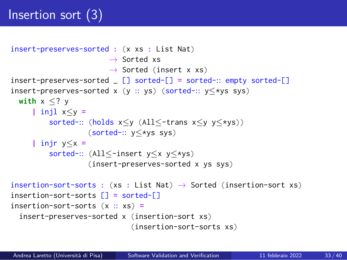# Insertion sort (3)

```
insert-preserves-sorted : (x xs : List Nat)
                       → Sorted xs
                       → Sorted (insert x xs)
insert-preserves-sorted _ [] sorted-[] = sorted-:: empty sorted-[]
insert-preserves-sorted x (y :: ys) (sorted-:: y≤*ys sys)
  with x ≤? y
     | injl x≤y =
         sorted-:: (holds x≤y (All≤-trans x≤y y≤*ys))
                  (sorted-:: y≤*ys sys)
     | injr y≤x =
         sorted-:: (All≤-insert y≤x y≤*ys)
                  (insert-preserves-sorted x ys sys)
insertion-sort-sorts : (xs : List Nat) → Sorted (insertion-sort xs)
insertion-sort-sorts [] = sorted-[]
insertion-sort-sorts (x :: xs) =
  insert-preserves-sorted x (insertion-sort xs)
                            (insertion-sort-sorts xs)
```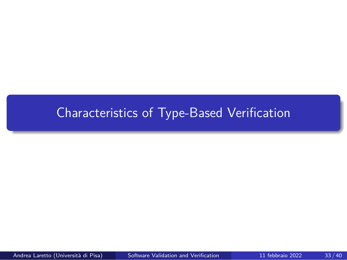# Characteristics of Type-Based Verification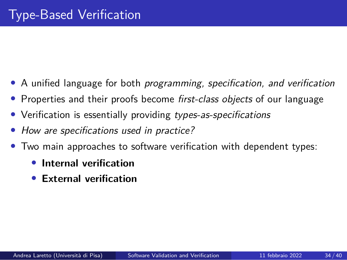- *•* A unified language for both *programming, specification, and verification*
- *•* Properties and their proofs become *first-class objects* of our language
- *•* Verification is essentially providing *types-as-specifications*
- *• How are specifications used in practice?*
- *•* Two main approaches to software verification with dependent types:
	- *•* **Internal verification**
	- *•* **External verification**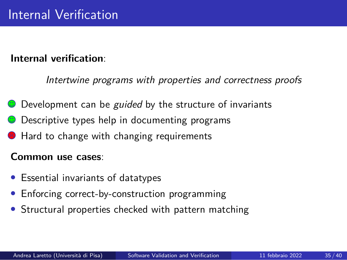### **Internal verification**:

*Intertwine programs with properties and correctness proofs*

- Development can be *guided* by the structure of invariants
- Descriptive types help in documenting programs
- $\Theta$  Hard to change with changing requirements

#### **Common use cases**:

- *•* Essential invariants of datatypes
- *•* Enforcing correct-by-construction programming
- *•* Structural properties checked with pattern matching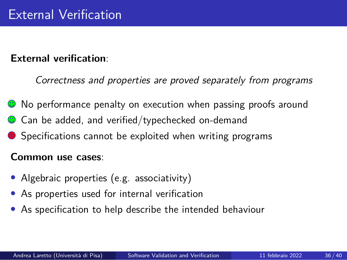#### **External verification**:

*Correctness and properties are proved separately from programs*

- **C** No performance penalty on execution when passing proofs around
- $\bullet$  Can be added, and verified/typechecked on-demand
- Specifications cannot be exploited when writing programs

#### **Common use cases**:

- Algebraic properties (e.g. associativity)
- As properties used for internal verification
- *•* As specification to help describe the intended behaviour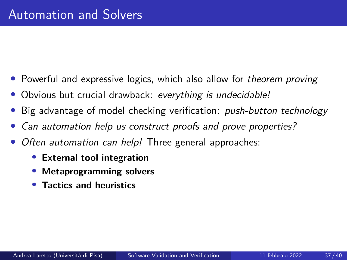- *•* Powerful and expressive logics, which also allow for *theorem proving*
- *•* Obvious but crucial drawback: *everything is undecidable!*
- *•* Big advantage of model checking verification: *push-button technology*
- *• Can automation help us construct proofs and prove properties?*
- *• Often automation can help!* Three general approaches:
	- *•* **External tool integration**
	- *•* **Metaprogramming solvers**
	- *•* **Tactics and heuristics**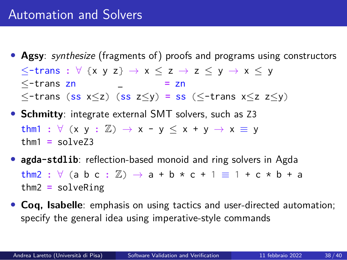- *•* **Agsy**: *synthesize* (fragments of) proofs and programs using constructors *≤*-trans **:** *∀* {x y z} *→* x *≤* z *→* z *≤* y *→* x *≤* y *≤*-trans zn \_ **=** zn *≤*-trans (ss x*≤*z) (ss z*≤*y) **=** ss (*≤*-trans x*≤*z z*≤*y)
- *•* **Schmitty**: integrate external SMT solvers, such as Z3 thm1 :  $\forall$  (x y :  $\mathbb{Z}$ )  $\rightarrow$  x - y  $\leq$  x + y  $\rightarrow$  x  $\equiv$  y  $thm1 = solve73$
- *•* **agda-stdlib**: reflection-based monoid and ring solvers in Agda thm2 :  $\forall$  (a b c :  $\mathbb{Z}$ )  $\rightarrow$  a + b \* c + 1  $\equiv$  1 + c \* b + a thm2 **=** solveRing
- *•* **Coq, Isabelle**: emphasis on using tactics and user-directed automation; specify the general idea using imperative-style commands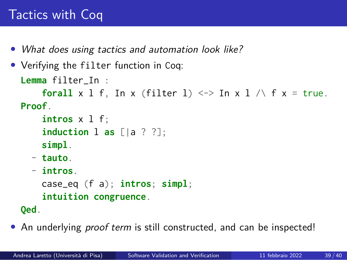# Tactics with Coq

- *• What does using tactics and automation look like?*
- *•* Verifying the filter function in Coq:

```
Lemma filter_In :
    forall x 1 f, In x (filter 1) \le > In x 1 /\ f x = true.
Proof.
```

```
intros x l f;
induction l as [|a ? ?];
simpl.
```
- **tauto**.
- **intros**.

```
case_eq (f a); intros; simpl;
intuition congruence.
```
**Qed**.

*•* An underlying *proof term* is still constructed, and can be inspected!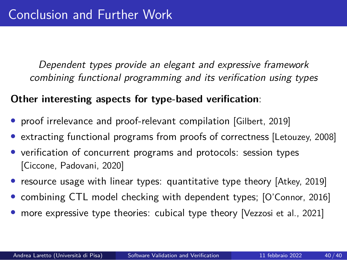*Dependent types provide an elegant and expressive framework combining functional programming and its verification using types*

#### **Other interesting aspects for type-based verification**:

- proof irrelevance and proof-relevant compilation [Gilbert, 2019]
- *•* extracting functional programs from proofs of correctness [Letouzey, 2008]
- verification of concurrent programs and protocols: session types [Ciccone, Padovani, 2020]
- *•* resource usage with linear types: quantitative type theory [Atkey, 2019]
- *•* combining CTL model checking with dependent types; [O'Connor, 2016]
- *•* more expressive type theories: cubical type theory [Vezzosi et al., 2021]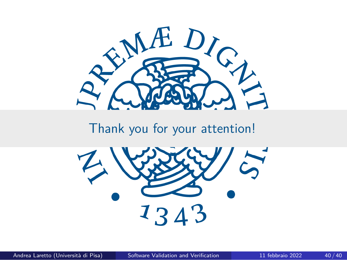

# Thank you for your attention!

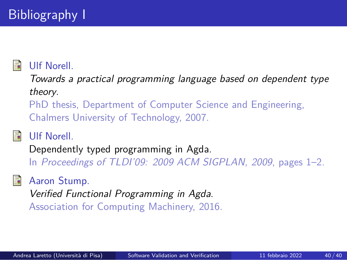## Ulf Norell.

*Towards a practical programming language based on dependent type theory*.

PhD thesis, Department of Computer Science and Engineering, Chalmers University of Technology, 2007.



# Ulf Norell.

Dependently typed programming in Agda. In *Proceedings of TLDI'09: 2009 ACM SIGPLAN, 2009*, pages 1–2.

Aaron Stump.

*Verified Functional Programming in Agda*. Association for Computing Machinery, 2016.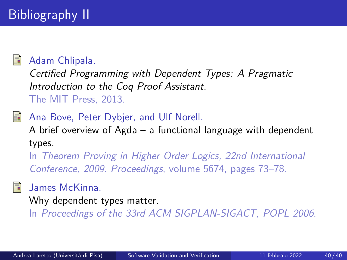

### Adam Chlipala.

*Certified Programming with Dependent Types: A Pragmatic Introduction to the Coq Proof Assistant*. The MIT Press, 2013.

## Ana Bove, Peter Dybjer, and Ulf Norell.

A brief overview of Agda – a functional language with dependent types.

In *Theorem Proving in Higher Order Logics, 22nd International Conference, 2009. Proceedings*, volume 5674, pages 73–78.

## James McKinna.

Why dependent types matter.

In *Proceedings of the 33rd ACM SIGPLAN-SIGACT, POPL 2006*.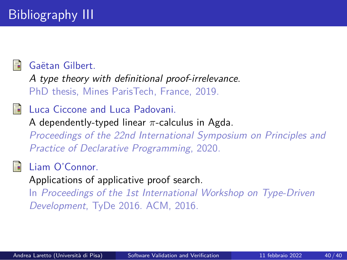

#### Gaëtan Gilbert.

*A type theory with definitional proof-irrelevance*. PhD thesis, Mines ParisTech, France, 2019.

### **i** Luca Ciccone and Luca Padovani.

A dependently-typed linear *π*-calculus in Agda. *Proceedings of the 22nd International Symposium on Principles and Practice of Declarative Programming*, 2020.

Liam O'Connor.

Applications of applicative proof search.

In *Proceedings of the 1st International Workshop on Type-Driven Development*, TyDe 2016. ACM, 2016.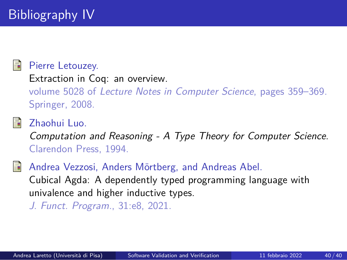#### Pierre Letouzey.

Extraction in Coq: an overview. volume 5028 of *Lecture Notes in Computer Science*, pages 359–369. Springer, 2008.

Zhaohui Luo.

*Computation and Reasoning - A Type Theory for Computer Science*. Clarendon Press, 1994.

Andrea Vezzosi, Anders Mörtberg, and Andreas Abel. Cubical Agda: A dependently typed programming language with univalence and higher inductive types.

*J. Funct. Program.*, 31:e8, 2021.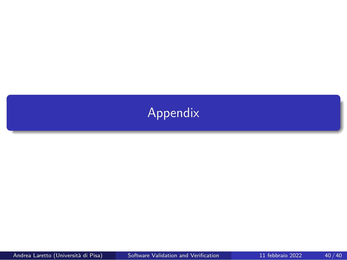# Appendix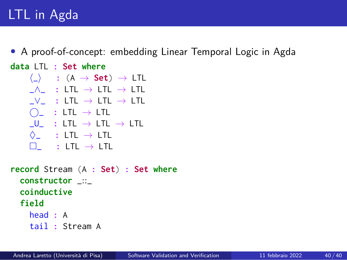# LTL in Agda

*•* A proof-of-concept: embedding Linear Temporal Logic in Agda

**data** LTL **: Set where**

```
⟨_⟩ : (A → Set) → LTL
_∧_ : LTL → LTL → LTL
_∨_ : LTL → LTL → LTL
⃝_ : LTL → LTL
_U_ : LTL → LTL → LTL
♢_ : LTL → LTL
□_ : LTL → LTL
```
**record** Stream (A **: Set**) **: Set where constructor** \_::\_ **coinductive field** head **:** A tail **:** Stream A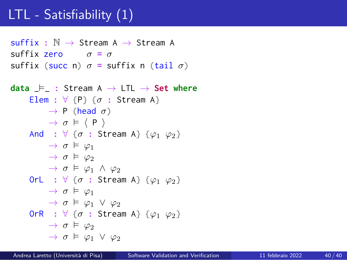# LTL - Satisfiability (1)

suffix **:** N *→* Stream A *→* Stream A suffix zero *σ* **=** *σ* suffix (succ n)  $\sigma$  = suffix n (tail  $\sigma$ )

```
data \models : Stream A \rightarrow LTL \rightarrow Set where
      Elem : \forall {P} {\sigma : Stream A}
            \rightarrow P (head \sigma)
            → σ ⊨ ⟨ P ⟩
      And : \forall {\sigma : Stream A} {\varphi_1 \varphi_2}
            \rightarrow \sigma \vDash \varphi_1\rightarrow \sigma \models \varphi_2→ σ ⊨ φ1 ∧ φ2
      OrL : ∀ {σ : Stream A} {φ1 φ2}
            \rightarrow \sigma \vDash \varphi_1→ σ ⊨ φ1 ∨ φ2
      OrR : ∀ {σ : Stream A} {φ1 φ2}
            \rightarrow \sigma \models \varphi_2→ σ ⊨ φ1 ∨ φ2
```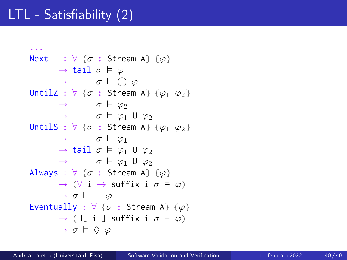# LTL - Satisfiability (2)

```
...
Next : \forall \{\sigma : \text{Stream A}\} \{\varphi\}→ tail σ ⊨ φ
     → σ ⊨ ⃝ φ
UntilZ : ∀ {σ : Stream A} {φ1 φ2}
     → σ ⊨ φ2
     → σ ⊨ φ1 U φ2
UntilS : ∀ {σ : Stream A} {φ1 φ2}
     → σ ⊨ φ1
     → tail σ ⊨ φ1 U φ2
     → σ ⊨ φ1 U φ2
Always : ∀ {σ : Stream A} {φ}
     → (∀ i → suffix i σ ⊨ φ)
     → σ ⊨ □ φ
Eventually : ∀ {σ : Stream A} {φ}
     → (∃[ i ] suffix i σ ⊨ φ)
     → σ ⊨ ♢ φ
```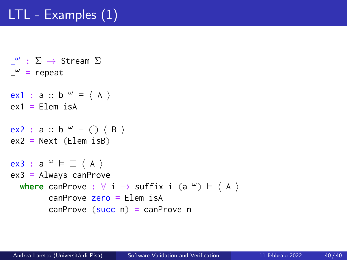# LTL - Examples (1)

- \_ *<sup>ω</sup>* **:** <sup>Σ</sup> *<sup>→</sup>* Stream <sup>Σ</sup> \_ *<sup>ω</sup>* **=** repeat
- ex1 **:** a :: b *<sup>ω</sup>* <sup>⊨</sup> *⟨* <sup>A</sup> *⟩* ex1 **=** Elem isA
- ex2 **:** a :: b *<sup>ω</sup>* <sup>⊨</sup> *⃝ ⟨* <sup>B</sup> *⟩* ex2 **=** Next (Elem isB)

```
ex3 : a
ω ⊨ □ ⟨ A ⟩
ex3 = Always canProve
  where canProve : ∀ i → suffix i (a
ω) ⊨ ⟨ A ⟩
        canProve zero = Elem isA
        canProve (succ n) = canProve n
```